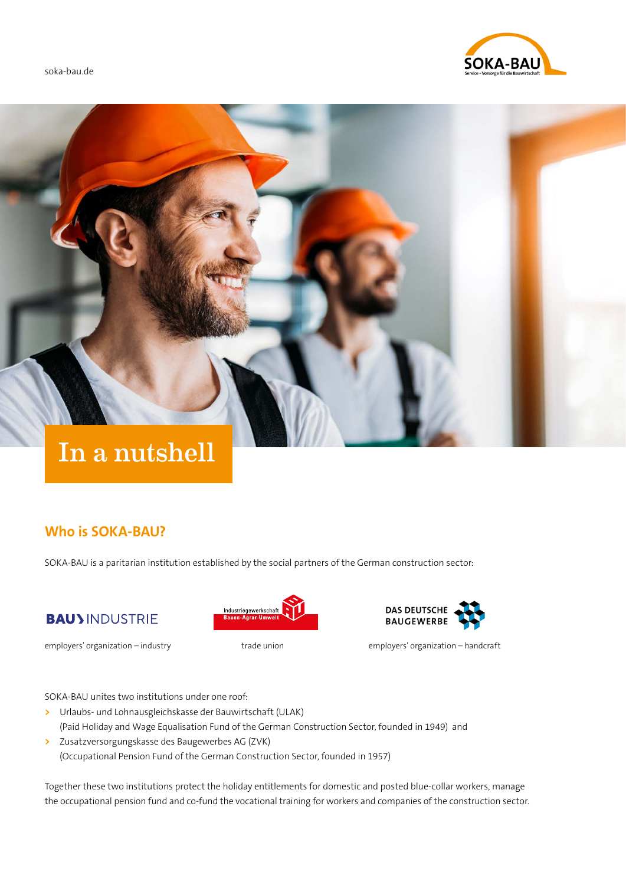soka-bau.de



# In a nutshell

# **Who is SOKA-BAU?**

SOKA-BAU is a paritarian institution established by the social partners of the German construction sector:

# **BAU) INDUSTRIE**





employers' organization – industry employers' organization – handcraft

SOKA-BAU unites two institutions under one roof:

- **>** Urlaubs- und Lohnausgleichskasse der Bauwirtschaft (ULAK) (Paid Holiday and Wage Equalisation Fund of the German Construction Sector, founded in 1949) and
- **>** Zusatzversorgungskasse des Baugewerbes AG (ZVK) (Occupational Pension Fund of the German Construction Sector, founded in 1957)

Together these two institutions protect the holiday entitlements for domestic and posted blue-collar workers, manage the occupational pension fund and co-fund the vocational training for workers and companies of the construction sector.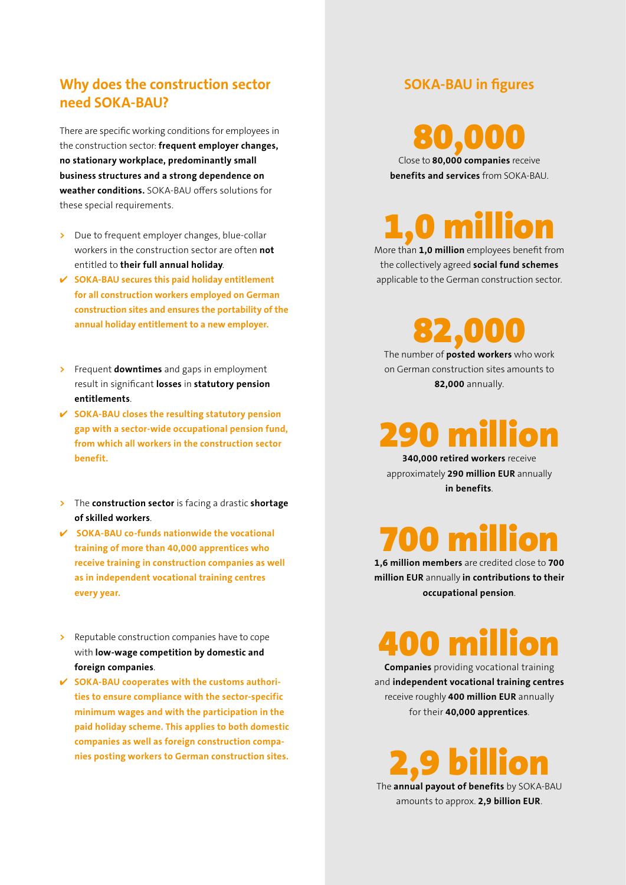# **Why does the construction sector need SOKA-BAU?**

There are specific working conditions for employees in the construction sector: **frequent employer changes, no stationary workplace, predominantly small business structures and a strong dependence on weather conditions.** SOKA-BAU offers solutions for these special requirements.

- **>** Due to frequent employer changes, blue-collar workers in the construction sector are often **not** entitled to **their full annual holiday**.
- ✔ **SOKA-BAU secures this paid holiday entitlement for all construction workers employed on German construction sites and ensures the portability of the annual holiday entitlement to a new employer.**
- **>** Frequent **downtimes** and gaps in employment result in significant **losses** in **statutory pension entitlements**.
- ✔ **SOKA-BAU closes the resulting statutory pension gap with a sector-wide occupational pension fund, from which all workers in the construction sector benefit.**
- **>** The **construction sector** is facing a drastic **shortage of skilled workers**.
- ✔ **SOKA-BAU co-funds nationwide the vocational training of more than 40,000 apprentices who receive training in construction companies as well as in independent vocational training centres every year.**
- **>** Reputable construction companies have to cope with **low-wage competition by domestic and foreign companies**.
- ✔ **SOKA-BAU cooperates with the customs authorities to ensure compliance with the sector-specific minimum wages and with the participation in the paid holiday scheme. This applies to both domestic companies as well as foreign construction companies posting workers to German construction sites.**

## **SOKA-BAU in figures**

80,000

Close to **80,000 companies** receive **benefits and services** from SOKA-BAU.

0 millio

More than **1,0 million** employees benefit from the collectively agreed **social fund schemes** applicable to the German construction sector.

82,000 The number of **posted workers** who work

on German construction sites amounts to **82,000** annually.

**290 millions** 

**340,000 retired workers** receive approximately **290 million EUR** annually **in benefits**.

# 700 million **1,6 million members** are credited close to **700**

**million EUR** annually **in contributions to their occupational pension**.

400 millio

**Companies** providing vocational training and **independent vocational training centres** receive roughly **400 million EUR** annually for their **40,000 apprentices**.

2,9 billion The **annual payout of benefits** by SOKA-BAU amounts to approx. **2,9 billion EUR**.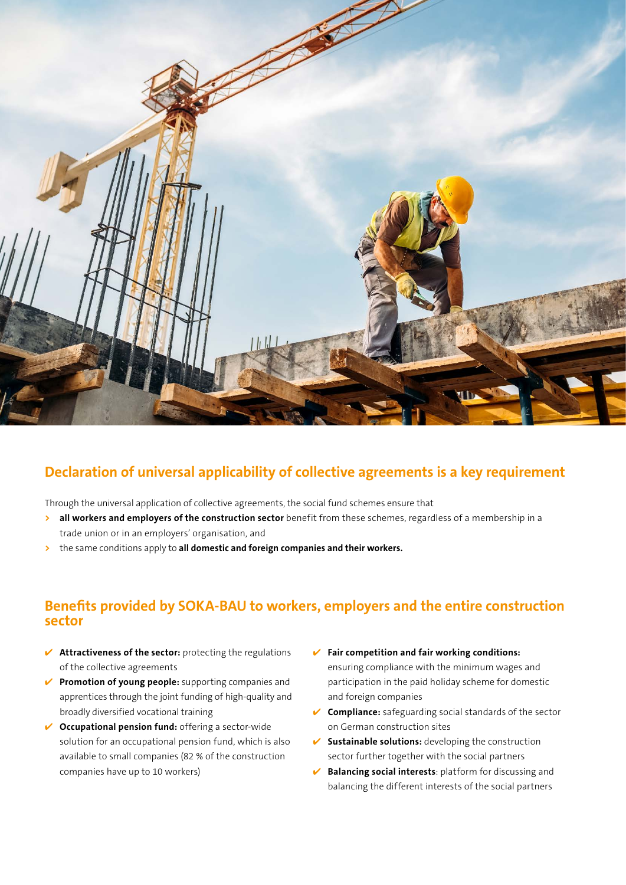

# **Declaration of universal applicability of collective agreements is a key requirement**

Through the universal application of collective agreements, the social fund schemes ensure that

- **>** all workers and employers of the construction sector benefit from these schemes, regardless of a membership in a trade union or in an employers' organisation, and
- **>** the same conditions apply to **all domestic and foreign companies and their workers.**

# **Benefits provided by SOKA-BAU to workers, employers and the entire construction sector**

- ✔ **Attractiveness of the sector:** protecting the regulations of the collective agreements
- ✔ **Promotion of young people:** supporting companies and apprentices through the joint funding of high-quality and broadly diversified vocational training
- ✔ **Occupational pension fund:** offering a sector-wide solution for an occupational pension fund, which is also available to small companies (82 % of the construction companies have up to 10 workers)
- ✔ **Fair competition and fair working conditions:** ensuring compliance with the minimum wages and participation in the paid holiday scheme for domestic and foreign companies
- ✔ **Compliance:** safeguarding social standards of the sector on German construction sites
- ✔ **Sustainable solutions:** developing the construction sector further together with the social partners
- ✔ **Balancing social interests**: platform for discussing and balancing the different interests of the social partners